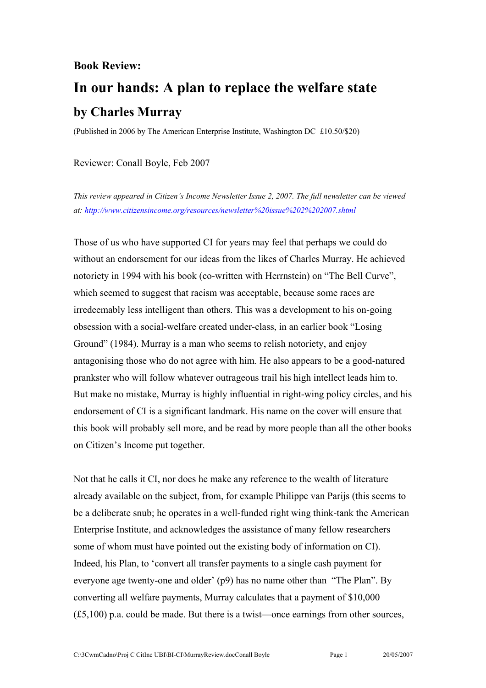## **Book Review:**

## **In our hands: A plan to replace the welfare state by Charles Murray**

(Published in 2006 by The American Enterprise Institute, Washington DC £10.50/\$20)

Reviewer: Conall Boyle, Feb 2007

*This review appeared in Citizen's Income Newsletter Issue 2, 2007. The full newsletter can be viewed at: [http://www.citizensincome.org/resources/newsletter%20issue%202%202007.shtml](http://www.citizensincome.org/resources/newsletter issue 2 2007.shtml)* 

Those of us who have supported CI for years may feel that perhaps we could do without an endorsement for our ideas from the likes of Charles Murray. He achieved notoriety in 1994 with his book (co-written with Herrnstein) on "The Bell Curve", which seemed to suggest that racism was acceptable, because some races are irredeemably less intelligent than others. This was a development to his on-going obsession with a social-welfare created under-class, in an earlier book "Losing Ground" (1984). Murray is a man who seems to relish notoriety, and enjoy antagonising those who do not agree with him. He also appears to be a good-natured prankster who will follow whatever outrageous trail his high intellect leads him to. But make no mistake, Murray is highly influential in right-wing policy circles, and his endorsement of CI is a significant landmark. His name on the cover will ensure that this book will probably sell more, and be read by more people than all the other books on Citizen's Income put together.

Not that he calls it CI, nor does he make any reference to the wealth of literature already available on the subject, from, for example Philippe van Parijs (this seems to be a deliberate snub; he operates in a well-funded right wing think-tank the American Enterprise Institute, and acknowledges the assistance of many fellow researchers some of whom must have pointed out the existing body of information on CI). Indeed, his Plan, to 'convert all transfer payments to a single cash payment for everyone age twenty-one and older' (p9) has no name other than "The Plan". By converting all welfare payments, Murray calculates that a payment of \$10,000 (£5,100) p.a. could be made. But there is a twist—once earnings from other sources,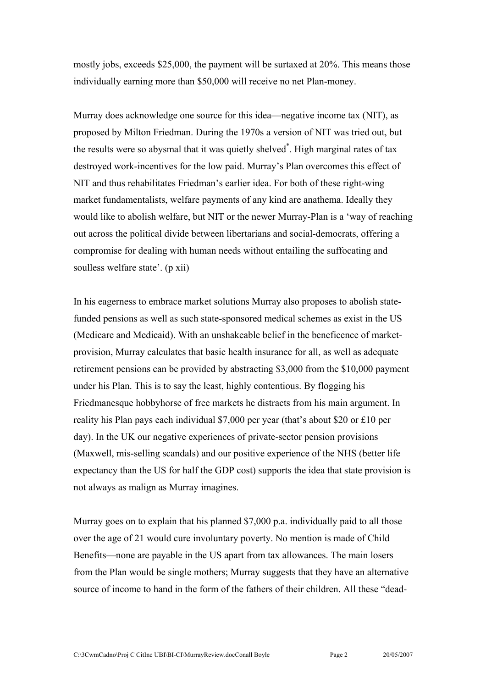mostly jobs, exceeds \$25,000, the payment will be surtaxed at 20%. This means those individually earning more than \$50,000 will receive no net Plan-money.

Murray does acknowledge one source for this idea—negative income tax (NIT), as proposed by Milton Friedman. During the 1970s a version of NIT was tried out, but the results were so abysmal that it was quietly shelved[\\*](#page-1-0) . High marginal rates of tax destroyed work-incentives for the low paid. Murray's Plan overcomes this effect of NIT and thus rehabilitates Friedman's earlier idea. For both of these right-wing market fundamentalists, welfare payments of any kind are anathema. Ideally they would like to abolish welfare, but NIT or the newer Murray-Plan is a 'way of reaching out across the political divide between libertarians and social-democrats, offering a compromise for dealing with human needs without entailing the suffocating and soulless welfare state'. (p xii)

In his eagerness to embrace market solutions Murray also proposes to abolish statefunded pensions as well as such state-sponsored medical schemes as exist in the US (Medicare and Medicaid). With an unshakeable belief in the beneficence of marketprovision, Murray calculates that basic health insurance for all, as well as adequate retirement pensions can be provided by abstracting \$3,000 from the \$10,000 payment under his Plan. This is to say the least, highly contentious. By flogging his Friedmanesque hobbyhorse of free markets he distracts from his main argument. In reality his Plan pays each individual \$7,000 per year (that's about \$20 or £10 per day). In the UK our negative experiences of private-sector pension provisions (Maxwell, mis-selling scandals) and our positive experience of the NHS (better life expectancy than the US for half the GDP cost) supports the idea that state provision is not always as malign as Murray imagines.

<span id="page-1-0"></span>Murray goes on to explain that his planned \$7,000 p.a. individually paid to all those over the age of 21 would cure involuntary poverty. No mention is made of Child Benefits—none are payable in the US apart from tax allowances. The main losers from the Plan would be single mothers; Murray suggests that they have an alternative source of income to hand in the form of the fathers of their children. All these "dead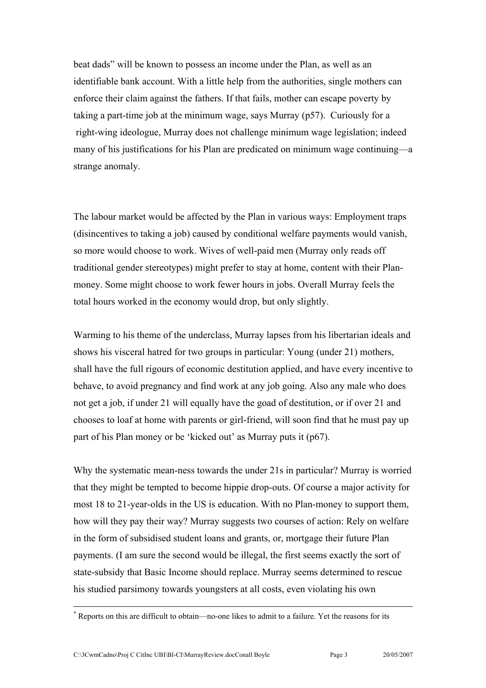beat dads" will be known to possess an income under the Plan, as well as an identifiable bank account. With a little help from the authorities, single mothers can enforce their claim against the fathers. If that fails, mother can escape poverty by taking a part-time job at the minimum wage, says Murray (p57). Curiously for a right-wing ideologue, Murray does not challenge minimum wage legislation; indeed many of his justifications for his Plan are predicated on minimum wage continuing—a strange anomaly.

The labour market would be affected by the Plan in various ways: Employment traps (disincentives to taking a job) caused by conditional welfare payments would vanish, so more would choose to work. Wives of well-paid men (Murray only reads off traditional gender stereotypes) might prefer to stay at home, content with their Planmoney. Some might choose to work fewer hours in jobs. Overall Murray feels the total hours worked in the economy would drop, but only slightly.

Warming to his theme of the underclass, Murray lapses from his libertarian ideals and shows his visceral hatred for two groups in particular: Young (under 21) mothers, shall have the full rigours of economic destitution applied, and have every incentive to behave, to avoid pregnancy and find work at any job going. Also any male who does not get a job, if under 21 will equally have the goad of destitution, or if over 21 and chooses to loaf at home with parents or girl-friend, will soon find that he must pay up part of his Plan money or be 'kicked out' as Murray puts it (p67).

Why the systematic mean-ness towards the under 21s in particular? Murray is worried that they might be tempted to become hippie drop-outs. Of course a major activity for most 18 to 21-year-olds in the US is education. With no Plan-money to support them, how will they pay their way? Murray suggests two courses of action: Rely on welfare in the form of subsidised student loans and grants, or, mortgage their future Plan payments. (I am sure the second would be illegal, the first seems exactly the sort of state-subsidy that Basic Income should replace. Murray seems determined to rescue his studied parsimony towards youngsters at all costs, even violating his own

 $\overline{a}$ 

<sup>\*</sup> Reports on this are difficult to obtain—no-one likes to admit to a failure. Yet the reasons for its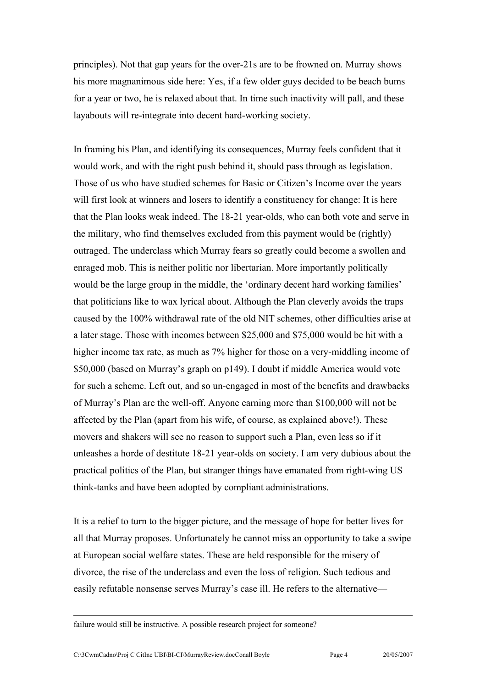principles). Not that gap years for the over-21s are to be frowned on. Murray shows his more magnanimous side here: Yes, if a few older guys decided to be beach bums for a year or two, he is relaxed about that. In time such inactivity will pall, and these layabouts will re-integrate into decent hard-working society.

In framing his Plan, and identifying its consequences, Murray feels confident that it would work, and with the right push behind it, should pass through as legislation. Those of us who have studied schemes for Basic or Citizen's Income over the years will first look at winners and losers to identify a constituency for change: It is here that the Plan looks weak indeed. The 18-21 year-olds, who can both vote and serve in the military, who find themselves excluded from this payment would be (rightly) outraged. The underclass which Murray fears so greatly could become a swollen and enraged mob. This is neither politic nor libertarian. More importantly politically would be the large group in the middle, the 'ordinary decent hard working families' that politicians like to wax lyrical about. Although the Plan cleverly avoids the traps caused by the 100% withdrawal rate of the old NIT schemes, other difficulties arise at a later stage. Those with incomes between \$25,000 and \$75,000 would be hit with a higher income tax rate, as much as 7% higher for those on a very-middling income of \$50,000 (based on Murray's graph on p149). I doubt if middle America would vote for such a scheme. Left out, and so un-engaged in most of the benefits and drawbacks of Murray's Plan are the well-off. Anyone earning more than \$100,000 will not be affected by the Plan (apart from his wife, of course, as explained above!). These movers and shakers will see no reason to support such a Plan, even less so if it unleashes a horde of destitute 18-21 year-olds on society. I am very dubious about the practical politics of the Plan, but stranger things have emanated from right-wing US think-tanks and have been adopted by compliant administrations.

It is a relief to turn to the bigger picture, and the message of hope for better lives for all that Murray proposes. Unfortunately he cannot miss an opportunity to take a swipe at European social welfare states. These are held responsible for the misery of divorce, the rise of the underclass and even the loss of religion. Such tedious and easily refutable nonsense serves Murray's case ill. He refers to the alternative—

failure would still be instructive. A possible research project for someone?

 $\overline{a}$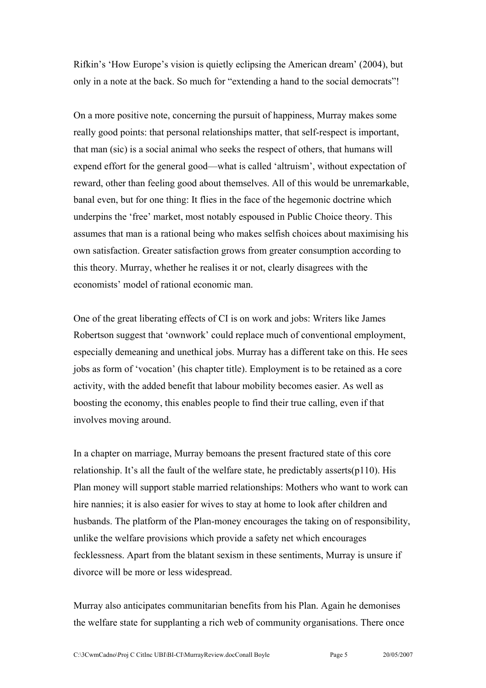Rifkin's 'How Europe's vision is quietly eclipsing the American dream' (2004), but only in a note at the back. So much for "extending a hand to the social democrats"!

On a more positive note, concerning the pursuit of happiness, Murray makes some really good points: that personal relationships matter, that self-respect is important, that man (sic) is a social animal who seeks the respect of others, that humans will expend effort for the general good—what is called 'altruism', without expectation of reward, other than feeling good about themselves. All of this would be unremarkable, banal even, but for one thing: It flies in the face of the hegemonic doctrine which underpins the 'free' market, most notably espoused in Public Choice theory. This assumes that man is a rational being who makes selfish choices about maximising his own satisfaction. Greater satisfaction grows from greater consumption according to this theory. Murray, whether he realises it or not, clearly disagrees with the economists' model of rational economic man.

One of the great liberating effects of CI is on work and jobs: Writers like James Robertson suggest that 'ownwork' could replace much of conventional employment, especially demeaning and unethical jobs. Murray has a different take on this. He sees jobs as form of 'vocation' (his chapter title). Employment is to be retained as a core activity, with the added benefit that labour mobility becomes easier. As well as boosting the economy, this enables people to find their true calling, even if that involves moving around.

In a chapter on marriage, Murray bemoans the present fractured state of this core relationship. It's all the fault of the welfare state, he predictably asserts(p110). His Plan money will support stable married relationships: Mothers who want to work can hire nannies; it is also easier for wives to stay at home to look after children and husbands. The platform of the Plan-money encourages the taking on of responsibility, unlike the welfare provisions which provide a safety net which encourages fecklessness. Apart from the blatant sexism in these sentiments, Murray is unsure if divorce will be more or less widespread.

Murray also anticipates communitarian benefits from his Plan. Again he demonises the welfare state for supplanting a rich web of community organisations. There once